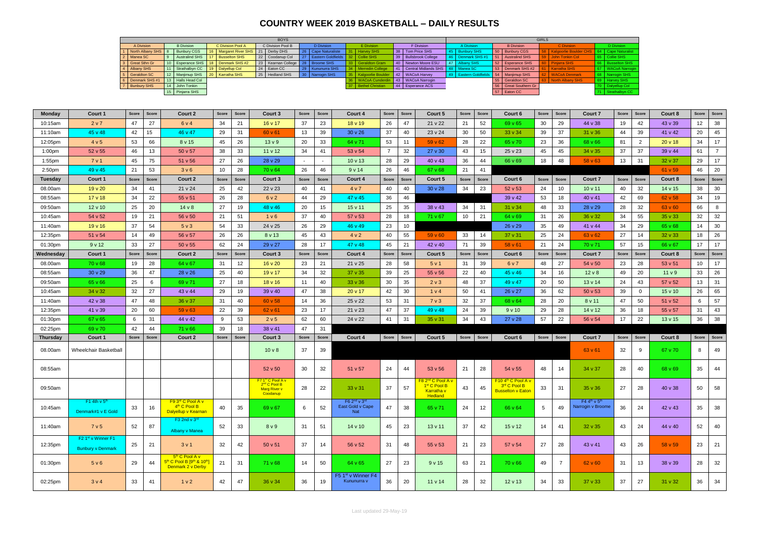## **COUNTRY WEEK 2019 BASKETBALL – DAILY RESULTS**

| <b>BOYS</b>                     |  |                       |                 |                                     |    |                                        |  |                                           |                 |                         |    |                          | <b>GIRLS</b>                            |                   |                      |  |                               |            |                        |  |  |
|---------------------------------|--|-----------------------|-----------------|-------------------------------------|----|----------------------------------------|--|-------------------------------------------|-----------------|-------------------------|----|--------------------------|-----------------------------------------|-------------------|----------------------|--|-------------------------------|------------|------------------------|--|--|
| <b>B</b> Division<br>A Division |  | C Division Pool A     |                 | C Division Pool B                   |    | D Division                             |  | E Division                                |                 | F Division              |    | A Division               |                                         | <b>B</b> Division | C Division           |  |                               | D Division |                        |  |  |
| North Albany SHS 8              |  | <b>Bunbury CGS</b>    | 16 <sup>1</sup> | Margaret River SHS   21   Derby DHS |    |                                        |  | 26   Cape Naturaliste                     | $\vert$ 31      | <b>Harvey SHS</b>       |    | 38   Tom Price SHS       | 45   Bunbury SHS                        |                   | 50 Bunbury CGS       |  | <b>Kalgoorlie Boulder CHS</b> |            | <b>Cape Naturalist</b> |  |  |
| 2 Manea SC                      |  | <b>Australind SHS</b> |                 | <b>Busselton SHS</b>                |    | 22 Coodanup Col                        |  | 27   Eastern Goldfields   32   Collie SHS |                 |                         |    | 39 Bullsbrook College    | 46 Denmark SHS #1                       |                   | 51 Australind SHS    |  | John Tonkin Col               |            | 65   Collie SHS        |  |  |
| 3 Great Sthn Gr                 |  | 10   Esperance SHS    | 18 <sup>1</sup> | Denmark SHS #2                      |    | 23   Kearnan College   28   Broome SHS |  |                                           | 33 <sub>o</sub> | <b>Geraldton Gram</b>   |    | 40 Newton Moore ESU      | 47 Albany SHS                           |                   | 52 Esperance SHS     |  | <b>Pinjarra SHS</b>           |            | 66   Busselton SHS     |  |  |
| 4 Albany SHS                    |  | 11 Strathalbyn CC     | 19 <sup>1</sup> | Dalyellup Col                       | 24 | Eaton CC                               |  | 29   Kununurra SHS                        | 34              | Merredin College        | 41 | 1   Central Midlands SHS | Manea SC                                |                   | 53 Denmark SHS #2    |  | <b>Karratha SHS</b>           |            | 67   WACoA Narrogin    |  |  |
| 5 Geraldton SC                  |  | 12 Manjimup SHS       |                 | 20   Karratha SHS                   |    | 25 Hedland SHS                         |  | 30 Narrogin SHS                           |                 | 35   Kalgoorlie Boulder |    | 42 WACoA Harvey          | 49 Eastern Goldfields 54   Manjimup SHS |                   |                      |  | <b>WACoA Denmark</b>          |            | 68   Narrogin SHS      |  |  |
| Denmark SHS #1                  |  | 13 Halls Head Col     |                 |                                     |    |                                        |  |                                           |                 | <b>WACoA Cunderdin</b>  |    | 43   WACoA Narrogin      |                                         |                   | 55 Geraldton SC      |  | North Albany SHS              |            | 69   Harvey SHS        |  |  |
| 7 Bunbury SHS                   |  | 14 John Tonkin        |                 |                                     |    |                                        |  |                                           |                 | 37   Bethel Christian   |    | 44 Esperance ACS         |                                         |                   | 56 Great Southern Gr |  |                               |            | 70   Dalyellup Col     |  |  |
|                                 |  | 15 Pinjarra SHS       |                 |                                     |    |                                        |  |                                           |                 |                         |    |                          |                                         |                   | 57 Eaton CC          |  |                               |            | 71 Strathalbyn CC      |  |  |

| Monday             | Court 1                                          | Score<br>Score | Court 2                                                                                                           | Score | Score | Court 3                                                                                      | Score        | <b>Score</b> | <b>Court 4</b>                                                  | Score          | Score | Court 5                                                                                               | Score | Score           | Court 6                                                                    | Score | Score        | <b>Court 7</b>                                            | Score        | Score          | Court 8           | Score | Score          |
|--------------------|--------------------------------------------------|----------------|-------------------------------------------------------------------------------------------------------------------|-------|-------|----------------------------------------------------------------------------------------------|--------------|--------------|-----------------------------------------------------------------|----------------|-------|-------------------------------------------------------------------------------------------------------|-------|-----------------|----------------------------------------------------------------------------|-------|--------------|-----------------------------------------------------------|--------------|----------------|-------------------|-------|----------------|
| 10:15am            | 2 v 7                                            | 47<br>27       | 6 v 4                                                                                                             | 34    | 21    | $16 \vee 17$                                                                                 | 37           | 23           | 18 <sub>v</sub> 19                                              | 26             | 47    | 21 v 22                                                                                               | 21    | 52              | 69 v 65                                                                    | 30    | 29           | 44 v 38                                                   | 19           | 42             | 43 v 39           | 12    | 38             |
| 11:10am            | 45 v 48                                          | 42<br>15       | 46 v 47                                                                                                           | 29    | 31    | $60 \vee 61$                                                                                 | 13           | 39           | $30 \vee 26$                                                    | 37             | 40    | 23 v 24                                                                                               | 30    | 50              | 33 v 34                                                                    | 39    | 37           | 31 v 36                                                   | 44           | 39             | 41 v 42           | 20    | 45             |
| 12:05pm            | 4 v 5                                            | 66<br>53       | 8 v 15                                                                                                            | 45    | 26    | 13 <sub>v</sub> 9                                                                            | 20           | 33           | 64 v 71                                                         | 53             | 11    | $59 \vee 62$                                                                                          | 28    | 22              | 65 v 70                                                                    | 23    | 36           | 68 v 66                                                   | 81           | $\overline{2}$ | 20v18             | 34    | 17             |
| 1:00 <sub>pm</sub> | 52 v 55                                          | 46<br>13       | 50 v 57                                                                                                           | 38    | 33    | 11 v 12                                                                                      | 34           | 41           | 53 v 54                                                         | $\overline{7}$ | 32    | $27 \times 30$                                                                                        | 43    | 15              | 25 v 23                                                                    | 45    | 45           | $34 \vee 35$                                              | 37           | 37             | 39 v 44           | 61    | $\overline{7}$ |
| 1:55pm             | 7 v 1                                            | 45<br>75       | 51 v 56                                                                                                           | 27    | 26    | 28 v 29                                                                                      | $\sim$       | $\sim$       | 10 v 13                                                         | 28             | 29    | $40 \times 43$                                                                                        | 36    | 44              | 66 v 69                                                                    | 18    | 48           | 58 v 63                                                   | 13           | 31             | 32 v 37           | 29    | 17             |
| 2:50 <sub>pm</sub> | 49 v 45                                          | 21<br>53       | 3 <sub>v</sub> 6                                                                                                  | 10    | 28    | 70 v 64                                                                                      | 26           | 46           | 9v14                                                            | 26             | 46    | $67 \vee 68$                                                                                          | 21    | 41              |                                                                            |       |              |                                                           |              |                | 61 v 59           | 46    | 20             |
| <b>Tuesday</b>     | Court 1                                          | Score<br>Score | Court 2                                                                                                           | Score | Score | Court 3                                                                                      | Score        | <b>Score</b> | <b>Court 4</b>                                                  | Score          | Score | Court 5                                                                                               | Score | Score           | Court 6                                                                    | Score | <b>Score</b> | Court 7                                                   | <b>Score</b> | <b>Score</b>   | Court 8           | Score | Score          |
| 08.00am            | $19v$ 20                                         | 34<br>41       | 21 v 24                                                                                                           | 25    | 42    | 22 v 23                                                                                      | 40           | 41           | 4 v 7                                                           | 40             | 40    | 30v28                                                                                                 | 34    | 23              | 52 v 53                                                                    | 24    | 10           | $10 \vee 11$                                              | 40           | 32             | 14 v 15           | 38    | 30             |
| 08:55am            | $17 \vee 18$                                     | 22<br>34       | 55 v 51                                                                                                           | 26    | 28    | 6 v 2                                                                                        | 44           | 29           | 47 v 45                                                         | 36             | 46    |                                                                                                       |       |                 | 39 v 42                                                                    | 53    | 18           | 40 v 41                                                   | 42           | 69             | 62 v 58           | 34    | 19             |
| 09:50am            | $12 \vee 10$                                     | 25<br>20       | 14v8                                                                                                              | 27    | 19    | 48 v 46                                                                                      | 20           | 15           | 15 v 11                                                         | 25             | 35    | 38 v 43                                                                                               | 34    | 31              | $31 \vee 34$                                                               | 48    | 33           | 28 v 29                                                   | 28           | 32             | 63 v 60           | 66    | 8              |
| 10:45am            | 54 v 52                                          | 19<br>21       | 56 v 50                                                                                                           | 21    | 51    | 1 <sub>v</sub> 6                                                                             | 37           | 40           | 57 v 53                                                         | 28             | 18    | 71 v 67                                                                                               | 10    | 21              | 64 v 69                                                                    | 31    | 26           | 36 v 32                                                   | 34           | 55             | $35 \vee 33$      | 32    | 32             |
| 11:40am            | 19v16                                            | 37<br>54       | 5 <sub>v</sub> 3                                                                                                  | 54    | 33    | 24 v 25                                                                                      | 26           | 29           | 46 v 49                                                         | 23             | 10    |                                                                                                       |       |                 | 26 v 29                                                                    | 35    | 49           | 41 v 44                                                   | 34           | 29             | 65 v 68           | 14    | 30             |
| 12:35pm            | 51 v 54                                          | 14<br>49       | 56 v 57                                                                                                           | 26    | 26    | 8 v 13                                                                                       | 45           | 43           | 4 v 2                                                           | 40             | 55    | 59 <sub>v</sub> 60                                                                                    | 33    | 14              | $37 \vee 31$                                                               | 25    | 24           | 63 v 62                                                   | 27           | 14             | $32 \vee 33$      | 18    | 26             |
| 01:30pm            | 9v12                                             | 27<br>33       | 50 v 55                                                                                                           | 62    | 24    | 29 v 27                                                                                      | 28           | 17           | 47 v 48                                                         | 45             | 21    | 42 v 40                                                                                               | 71    | 39              | $58 \vee 61$                                                               | 21    | 24           | 70 v 71                                                   | 57           | 15             | 66 v 67           | 17    | 17             |
| Wednesday          | Court 1                                          | Score<br>Score | Court 2                                                                                                           | Score | Score | Court 3                                                                                      | <b>Score</b> | Score        | Court 4                                                         | Score          | Score | Court 5                                                                                               | Score | Score           | Court 6                                                                    | Score | Score        | <b>Court 7</b>                                            | <b>Score</b> | Score          | Court 8           | Score | <b>Score</b>   |
| 08.00am            | $70 \vee 68$                                     | 28<br>19       | 64 v 67                                                                                                           | 31    | 12    | $16 \vee 20$                                                                                 | 23           | 21           | 21 v 25                                                         | 28             | 58    | 5 v 1                                                                                                 | 31    | 39              | 6 v 7                                                                      | 48    | 27           | 54 v 50                                                   | 23           | 28             | 53 v 51           | 10    | 17             |
| 08:55am            | $30 \vee 29$                                     | 36<br>47       | 28 v 26                                                                                                           | 25    | 40    | 19v17                                                                                        | 34           | 32           | 37 v 35                                                         | 39             | 25    | $55 \vee 56$                                                                                          | 22    | 40              | 45 v 46                                                                    | 34    | 16           | $12 \vee 8$                                               | 49           | 20             | 11 <sub>v</sub> 9 | 33    | 26             |
| 09:50am            | 65 v 66                                          | 25<br>6        | 69 v 71                                                                                                           | 27    | 18    | 18 <sub>v</sub> 16                                                                           | 11           | 40           | $33 \vee 36$                                                    | 30             | 35    | 2 <sub>v</sub> 3                                                                                      | 48    | 37              | 49 v 47                                                                    | 20    | 50           | $13 \vee 14$                                              | 24           | 43             | 57 v 52           | 13    | 31             |
| 10:45am            | 34 v 32                                          | 32<br>27       | 43 v 44                                                                                                           | 29    | 19    | 39 v 40                                                                                      | 47           | 38           | 20 v 17                                                         | 42             | 30    | 1 v 4                                                                                                 | 50    | 41              | 26 v 27                                                                    | 36    | 62           | $50 \vee 53$                                              | 39           | $\mathbf 0$    | $15 \vee 10$      | 26    | 65             |
| 11:40am            | 42 v 38                                          | 47<br>48       | 36 v 37                                                                                                           | 31    | 40    | $60 \vee 58$                                                                                 | 14           | 36           | 25 v 22                                                         | 53             | 31    | 7 <sub>v</sub> 3                                                                                      | 32    | 37              | 68 v 64                                                                    | 28    | 20           | 8 v 11                                                    | 47           | 50             | 51 v 52           | 6     | 57             |
| 12:35pm            | 41 v 39                                          | 20<br>60       | $59 \vee 63$                                                                                                      | 22    | 39    | $62 \times 61$                                                                               | 23           | 17           | 21 v 23                                                         | 47             | 37    | 49 v 48                                                                                               | 24    | 39              | 9v10                                                                       | 29    | 28           | 14 v 12                                                   | 36           | 18             | 55 v 57           | 31    | 43             |
| 01:30pm            | $67 \vee 65$                                     | 6<br>31        | 44 v 42                                                                                                           | 9     | 53    | 2 v 5                                                                                        | 62           | 60           | 24 v 22                                                         | 41             | 31    | 35 v 31                                                                                               | 34    | 43              | $27 \vee 28$                                                               | 57    | 22           | 56 v 54                                                   | 17           | 22             | 13v15             | 36    | 38             |
| 02:25pm            | 69 v 70                                          | 42<br>44       | 71 v 66                                                                                                           | 39    | 18    | 38 v 41                                                                                      | 47           | 31           |                                                                 |                |       |                                                                                                       |       |                 |                                                                            |       |              |                                                           |              |                |                   |       |                |
| <b>Thursday</b>    | Court 1                                          | Score<br>Score | Court 2                                                                                                           | Score | Score | Court 3                                                                                      | Score        | <b>Score</b> | Court 4                                                         | Score          | Score | Court 5                                                                                               | Score | Score           | Court 6                                                                    | Score | Score        | <b>Court 7</b>                                            | Score        | Score          | Court 8           | Score | Score          |
| 08.00am            | Wheelchair Basketball                            |                |                                                                                                                   |       |       | 10 <sub>V</sub> 8                                                                            | 37           | 39           |                                                                 |                |       |                                                                                                       |       |                 |                                                                            |       |              | $63 \vee 61$                                              | 32           | 9              | 67 v 70           | 8     | 49             |
| 08:55am            |                                                  |                |                                                                                                                   |       |       | 52 v 50                                                                                      | 30           | 32           | 51 v 57                                                         | 24             | 44    | $53 \vee 56$                                                                                          | 21    | 28              | 54 v 55                                                                    | 48    | 14           | 34 v 37                                                   | 28           | 40             | 68 v 69           | 35    | 44             |
| 09:50am            |                                                  |                |                                                                                                                   |       |       | F7 1 <sup>st</sup> C Pool A v<br>2 <sup>nd</sup> C Pool B<br><b>Marg River v</b><br>Coodanup | 28           | 22           | $33 \vee 31$                                                    | 37             | 57    | <mark>-8 2<sup>nd</sup> C Pool A ∖</mark><br>1 <sup>st</sup> C Pool B<br>Karratha v<br><b>Hedland</b> | 43    | 45              | F10 4 <sup>th</sup> C Pool A v<br>3rd C Pool B<br><b>Busselton v Eaton</b> | 33    | 31           | $35 \vee 36$                                              | 27           | 28             | 40 v 38           | 50    | 58             |
| 10:45am            | F1 4th $v$ 5 <sup>th</sup><br>Denmark#1 v E Gold | 16<br>33       | F9 3rd C Pool A v<br>$4th$ C Pool B<br>Dalyellup v Kearnan                                                        | 40    | 35    | 69 v 67                                                                                      | 6            | 52           | F6 2 <sup>nd</sup> v 3 <sup>rd</sup><br>East Gold v Cape<br>Nat | 47             | 38    | 65 v 71                                                                                               | 24    | 12 <sup>2</sup> | 66 v 64                                                                    | 5     | 49           | F4 4 <sup>th</sup> v 5 <sup>th</sup><br>Narrogin v Broome | 36           | 24             | 42 v 43           | 35    | 38             |
| 11:40am            | 7 v 5                                            | 87<br>52       | F3 2nd v $3^{\text{rd}}$<br>Albany v Manea                                                                        | 52    | 33    | 8 <sub>V</sub> 9                                                                             | 31           | 51           | $14 \vee 10$                                                    | 45             | 23    | $13 \vee 11$                                                                                          | 37    | 42              | $15 \vee 12$                                                               | 14    | 41           | 32 v 35                                                   | 43           | 24             | 44 v 40           | 52    | 40             |
| 12:35pm            | F2 1st v Winner F1<br><b>Bunbury v Denmark</b>   | 21<br>25       | 3 <sub>v</sub> 1                                                                                                  | 32    | 42    | $50 \vee 51$                                                                                 | 37           | 14           | 56 v 52                                                         | 31             | 48    | $55 \vee 53$                                                                                          | 21    | 23              | 57 v 54                                                                    | 27    | 28           | 43 v 41                                                   | 43           | 26             | 58 v 59           | 23    | 21             |
| 01:30pm            | 5 v 6                                            | 44<br>29       | 5 <sup>th</sup> C Pool A v<br>5 <sup>th</sup> C Pool B [9 <sup>th</sup> & 10 <sup>th</sup> ]<br>Denmark 2 v Derby | 21    | 31    | 71 v 68                                                                                      | 14           | 50           | 64 v 65                                                         | 27             | 23    | 9v15                                                                                                  | 63    | 21              | 70 v 66                                                                    | 49    | $7^{\circ}$  | $62 \vee 60$                                              | 31           | 13             | 38 v 39           | 28    | 32             |
| 02:25pm            | 3 v 4                                            | 33<br>41       | 1 <sub>v</sub> 2                                                                                                  | 42    | 47    | $36 \vee 34$                                                                                 | 36           | 19           | F5 $1st$ v Winner F4<br>Kununurra v                             | 36             | 20    | $11 \vee 14$                                                                                          | 28    | 32              | $12 \vee 13$                                                               | 34    | 33           | $37 \vee 33$                                              | 37           | 27             | $31 \vee 32$      | 36    | 34             |